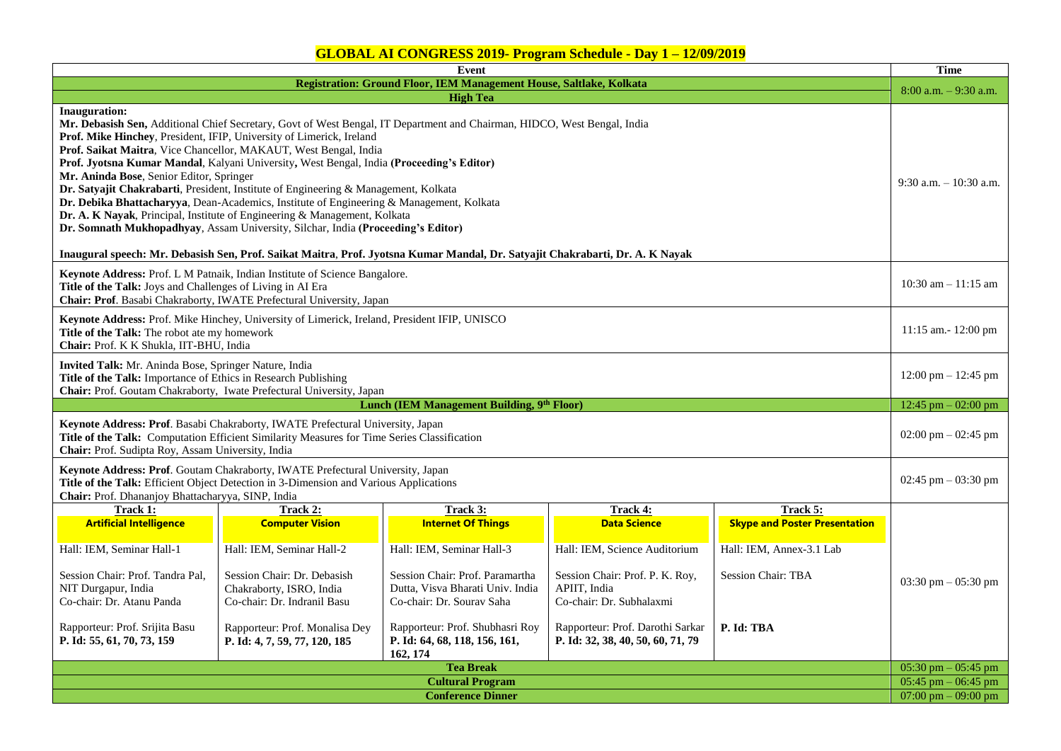| Event                                                                                                                                                                                                                                                                                                                                                                                                                                                                                                                                                                                                                                                                                                                                                                                                                                                                                                              |                                                                                                                                                                                 |                                                                                                                                                                                               |                                                                                                                                                                         |                                                                                                             |                       |  |  |
|--------------------------------------------------------------------------------------------------------------------------------------------------------------------------------------------------------------------------------------------------------------------------------------------------------------------------------------------------------------------------------------------------------------------------------------------------------------------------------------------------------------------------------------------------------------------------------------------------------------------------------------------------------------------------------------------------------------------------------------------------------------------------------------------------------------------------------------------------------------------------------------------------------------------|---------------------------------------------------------------------------------------------------------------------------------------------------------------------------------|-----------------------------------------------------------------------------------------------------------------------------------------------------------------------------------------------|-------------------------------------------------------------------------------------------------------------------------------------------------------------------------|-------------------------------------------------------------------------------------------------------------|-----------------------|--|--|
| Registration: Ground Floor, IEM Management House, Saltlake, Kolkata                                                                                                                                                                                                                                                                                                                                                                                                                                                                                                                                                                                                                                                                                                                                                                                                                                                |                                                                                                                                                                                 |                                                                                                                                                                                               |                                                                                                                                                                         |                                                                                                             |                       |  |  |
| <b>High Tea</b>                                                                                                                                                                                                                                                                                                                                                                                                                                                                                                                                                                                                                                                                                                                                                                                                                                                                                                    |                                                                                                                                                                                 |                                                                                                                                                                                               |                                                                                                                                                                         |                                                                                                             |                       |  |  |
| Inauguration:<br>Mr. Debasish Sen, Additional Chief Secretary, Govt of West Bengal, IT Department and Chairman, HIDCO, West Bengal, India<br>Prof. Mike Hinchey, President, IFIP, University of Limerick, Ireland<br>Prof. Saikat Maitra, Vice Chancellor, MAKAUT, West Bengal, India<br>Prof. Jyotsna Kumar Mandal, Kalyani University, West Bengal, India (Proceeding's Editor)<br>Mr. Aninda Bose, Senior Editor, Springer<br>Dr. Satyajit Chakrabarti, President, Institute of Engineering & Management, Kolkata<br>Dr. Debika Bhattacharyya, Dean-Academics, Institute of Engineering & Management, Kolkata<br>Dr. A. K Nayak, Principal, Institute of Engineering & Management, Kolkata<br>Dr. Somnath Mukhopadhyay, Assam University, Silchar, India (Proceeding's Editor)<br>Inaugural speech: Mr. Debasish Sen, Prof. Saikat Maitra, Prof. Jyotsna Kumar Mandal, Dr. Satyajit Chakrabarti, Dr. A. K Nayak |                                                                                                                                                                                 |                                                                                                                                                                                               |                                                                                                                                                                         |                                                                                                             |                       |  |  |
| Keynote Address: Prof. L M Patnaik, Indian Institute of Science Bangalore.<br>Title of the Talk: Joys and Challenges of Living in AI Era<br>Chair: Prof. Basabi Chakraborty, IWATE Prefectural University, Japan                                                                                                                                                                                                                                                                                                                                                                                                                                                                                                                                                                                                                                                                                                   |                                                                                                                                                                                 |                                                                                                                                                                                               |                                                                                                                                                                         |                                                                                                             |                       |  |  |
| Keynote Address: Prof. Mike Hinchey, University of Limerick, Ireland, President IFIP, UNISCO<br>Title of the Talk: The robot ate my homework<br>Chair: Prof. K K Shukla, IIT-BHU, India                                                                                                                                                                                                                                                                                                                                                                                                                                                                                                                                                                                                                                                                                                                            |                                                                                                                                                                                 |                                                                                                                                                                                               |                                                                                                                                                                         |                                                                                                             |                       |  |  |
| Invited Talk: Mr. Aninda Bose, Springer Nature, India<br>Title of the Talk: Importance of Ethics in Research Publishing<br>Chair: Prof. Goutam Chakraborty, Iwate Prefectural University, Japan                                                                                                                                                                                                                                                                                                                                                                                                                                                                                                                                                                                                                                                                                                                    |                                                                                                                                                                                 |                                                                                                                                                                                               |                                                                                                                                                                         |                                                                                                             |                       |  |  |
| Lunch (IEM Management Building, 9th Floor)                                                                                                                                                                                                                                                                                                                                                                                                                                                                                                                                                                                                                                                                                                                                                                                                                                                                         |                                                                                                                                                                                 |                                                                                                                                                                                               |                                                                                                                                                                         |                                                                                                             |                       |  |  |
| Keynote Address: Prof. Basabi Chakraborty, IWATE Prefectural University, Japan<br>Title of the Talk: Computation Efficient Similarity Measures for Time Series Classification<br>Chair: Prof. Sudipta Roy, Assam University, India                                                                                                                                                                                                                                                                                                                                                                                                                                                                                                                                                                                                                                                                                 |                                                                                                                                                                                 |                                                                                                                                                                                               |                                                                                                                                                                         |                                                                                                             |                       |  |  |
| Keynote Address: Prof. Goutam Chakraborty, IWATE Prefectural University, Japan<br>Title of the Talk: Efficient Object Detection in 3-Dimension and Various Applications<br>Chair: Prof. Dhananjoy Bhattacharyya, SINP, India                                                                                                                                                                                                                                                                                                                                                                                                                                                                                                                                                                                                                                                                                       |                                                                                                                                                                                 |                                                                                                                                                                                               |                                                                                                                                                                         |                                                                                                             |                       |  |  |
| Track 1:                                                                                                                                                                                                                                                                                                                                                                                                                                                                                                                                                                                                                                                                                                                                                                                                                                                                                                           | Track 2:                                                                                                                                                                        | Track 3:                                                                                                                                                                                      | Track 4:                                                                                                                                                                | Track 5:                                                                                                    |                       |  |  |
| <b>Artificial Intelligence</b><br>Hall: IEM, Seminar Hall-1<br>Session Chair: Prof. Tandra Pal.<br>NIT Durgapur, India<br>Co-chair: Dr. Atanu Panda<br>Rapporteur: Prof. Srijita Basu                                                                                                                                                                                                                                                                                                                                                                                                                                                                                                                                                                                                                                                                                                                              | <b>Computer Vision</b><br>Hall: IEM, Seminar Hall-2<br>Session Chair: Dr. Debasish<br>Chakraborty, ISRO, India<br>Co-chair: Dr. Indranil Basu<br>Rapporteur: Prof. Monalisa Dey | <b>Internet Of Things</b><br>Hall: IEM, Seminar Hall-3<br>Session Chair: Prof. Paramartha<br>Dutta, Visva Bharati Univ. India<br>Co-chair: Dr. Sourav Saha<br>Rapporteur: Prof. Shubhasri Roy | <b>Data Science</b><br>Hall: IEM, Science Auditorium<br>Session Chair: Prof. P. K. Roy,<br>APIIT, India<br>Co-chair: Dr. Subhalaxmi<br>Rapporteur: Prof. Darothi Sarkar | <b>Skype and Poster Presentation</b><br>Hall: IEM, Annex-3.1 Lab<br><b>Session Chair: TBA</b><br>P. Id: TBA | 03:30 pm $-$ 05:30 pm |  |  |
| P. Id: 55, 61, 70, 73, 159                                                                                                                                                                                                                                                                                                                                                                                                                                                                                                                                                                                                                                                                                                                                                                                                                                                                                         | P. Id: 4, 7, 59, 77, 120, 185                                                                                                                                                   | P. Id: 64, 68, 118, 156, 161,<br>162, 174                                                                                                                                                     | P. Id: 32, 38, 40, 50, 60, 71, 79                                                                                                                                       |                                                                                                             | 05:30 pm $-$ 05:45 pm |  |  |
| <b>Tea Break</b><br>05:45 pm $-$ 06:45 pm                                                                                                                                                                                                                                                                                                                                                                                                                                                                                                                                                                                                                                                                                                                                                                                                                                                                          |                                                                                                                                                                                 |                                                                                                                                                                                               |                                                                                                                                                                         |                                                                                                             |                       |  |  |
| <b>Cultural Program</b>                                                                                                                                                                                                                                                                                                                                                                                                                                                                                                                                                                                                                                                                                                                                                                                                                                                                                            |                                                                                                                                                                                 |                                                                                                                                                                                               |                                                                                                                                                                         |                                                                                                             |                       |  |  |
| <b>Conference Dinner</b>                                                                                                                                                                                                                                                                                                                                                                                                                                                                                                                                                                                                                                                                                                                                                                                                                                                                                           |                                                                                                                                                                                 |                                                                                                                                                                                               |                                                                                                                                                                         |                                                                                                             |                       |  |  |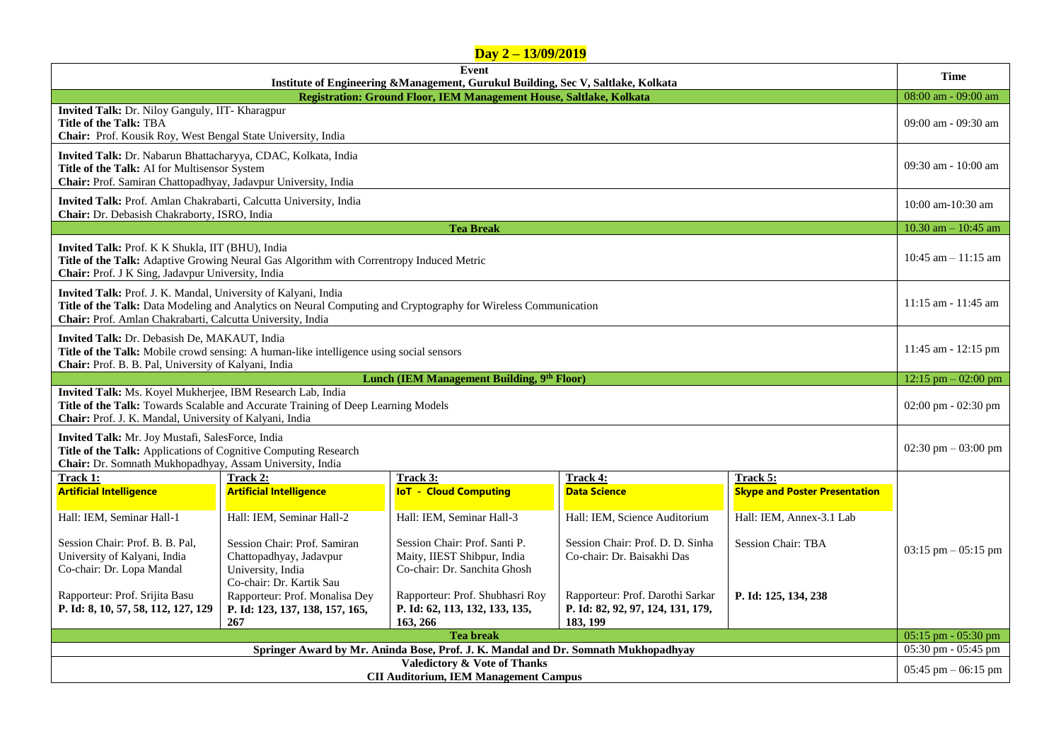|                                                                                                                                                                                                                                                |                                                                                                          | $Day 2 - 13/09/2019$                                                                         |                                                                                   |                                      |                                       |  |  |
|------------------------------------------------------------------------------------------------------------------------------------------------------------------------------------------------------------------------------------------------|----------------------------------------------------------------------------------------------------------|----------------------------------------------------------------------------------------------|-----------------------------------------------------------------------------------|--------------------------------------|---------------------------------------|--|--|
| Event                                                                                                                                                                                                                                          |                                                                                                          |                                                                                              |                                                                                   |                                      |                                       |  |  |
| Institute of Engineering &Management, Gurukul Building, Sec V, Saltlake, Kolkata<br>Registration: Ground Floor, IEM Management House, Saltlake, Kolkata                                                                                        |                                                                                                          |                                                                                              |                                                                                   |                                      |                                       |  |  |
| Invited Talk: Dr. Niloy Ganguly, IIT- Kharagpur<br><b>Title of the Talk: TBA</b><br><b>Chair:</b> Prof. Kousik Roy, West Bengal State University, India                                                                                        |                                                                                                          |                                                                                              |                                                                                   |                                      |                                       |  |  |
| Invited Talk: Dr. Nabarun Bhattacharyya, CDAC, Kolkata, India<br>Title of the Talk: AI for Multisensor System<br>Chair: Prof. Samiran Chattopadhyay, Jadavpur University, India                                                                |                                                                                                          |                                                                                              |                                                                                   |                                      |                                       |  |  |
| Invited Talk: Prof. Amlan Chakrabarti, Calcutta University, India<br>Chair: Dr. Debasish Chakraborty, ISRO, India                                                                                                                              |                                                                                                          |                                                                                              |                                                                                   |                                      |                                       |  |  |
|                                                                                                                                                                                                                                                |                                                                                                          | <b>Tea Break</b>                                                                             |                                                                                   |                                      | 10.30 am $-$ 10:45 am                 |  |  |
| <b>Invited Talk:</b> Prof. K K Shukla, IIT (BHU), India<br>Title of the Talk: Adaptive Growing Neural Gas Algorithm with Correntropy Induced Metric<br>Chair: Prof. J K Sing, Jadavpur University, India                                       |                                                                                                          |                                                                                              |                                                                                   |                                      |                                       |  |  |
| Invited Talk: Prof. J. K. Mandal, University of Kalyani, India<br>Title of the Talk: Data Modeling and Analytics on Neural Computing and Cryptography for Wireless Communication<br>Chair: Prof. Amlan Chakrabarti, Calcutta University, India |                                                                                                          |                                                                                              |                                                                                   |                                      |                                       |  |  |
| Invited Talk: Dr. Debasish De, MAKAUT, India<br>Title of the Talk: Mobile crowd sensing: A human-like intelligence using social sensors<br>Chair: Prof. B. B. Pal, University of Kalyani, India                                                |                                                                                                          |                                                                                              |                                                                                   |                                      |                                       |  |  |
| Lunch (IEM Management Building, 9th Floor)                                                                                                                                                                                                     |                                                                                                          |                                                                                              |                                                                                   |                                      |                                       |  |  |
| Invited Talk: Ms. Koyel Mukherjee, IBM Research Lab, India<br>Title of the Talk: Towards Scalable and Accurate Training of Deep Learning Models<br>Chair: Prof. J. K. Mandal, University of Kalyani, India                                     |                                                                                                          |                                                                                              |                                                                                   |                                      |                                       |  |  |
| Invited Talk: Mr. Joy Mustafi, SalesForce, India<br>Title of the Talk: Applications of Cognitive Computing Research<br>Chair: Dr. Somnath Mukhopadhyay, Assam University, India                                                                |                                                                                                          |                                                                                              |                                                                                   |                                      |                                       |  |  |
| Track 1:                                                                                                                                                                                                                                       | Track 2:                                                                                                 | Track 3:                                                                                     | Track 4:                                                                          | Track 5:                             |                                       |  |  |
| <b>Artificial Intelligence</b>                                                                                                                                                                                                                 | <b>Artificial Intelligence</b>                                                                           | <b>IoT - Cloud Computing</b>                                                                 | <b>Data Science</b>                                                               | <b>Skype and Poster Presentation</b> |                                       |  |  |
| Hall: IEM, Seminar Hall-1                                                                                                                                                                                                                      | Hall: IEM, Seminar Hall-2                                                                                | Hall: IEM, Seminar Hall-3                                                                    | Hall: IEM, Science Auditorium                                                     | Hall: IEM. Annex-3.1 Lab             |                                       |  |  |
| Session Chair: Prof. B. B. Pal,<br>University of Kalyani, India<br>Co-chair: Dr. Lopa Mandal                                                                                                                                                   | Session Chair: Prof. Samiran<br>Chattopadhyay, Jadavpur<br>University, India<br>Co-chair: Dr. Kartik Sau | Session Chair: Prof. Santi P.<br>Maity, IIEST Shibpur, India<br>Co-chair: Dr. Sanchita Ghosh | Session Chair: Prof. D. D. Sinha<br>Co-chair: Dr. Baisakhi Das                    | Session Chair: TBA                   | $03:15 \text{ pm} - 05:15 \text{ pm}$ |  |  |
| Rapporteur: Prof. Srijita Basu<br>P. Id: 8, 10, 57, 58, 112, 127, 129                                                                                                                                                                          | Rapporteur: Prof. Monalisa Dey<br>P. Id: 123, 137, 138, 157, 165,<br>267                                 | Rapporteur: Prof. Shubhasri Roy<br>P. Id: 62, 113, 132, 133, 135,<br>163, 266                | Rapporteur: Prof. Darothi Sarkar<br>P. Id: 82, 92, 97, 124, 131, 179,<br>183, 199 | P. Id: 125, 134, 238                 | 05:15 pm - 05:30 pm                   |  |  |
| <b>Tea break</b>                                                                                                                                                                                                                               |                                                                                                          |                                                                                              |                                                                                   |                                      |                                       |  |  |
| Springer Award by Mr. Aninda Bose, Prof. J. K. Mandal and Dr. Somnath Mukhopadhyay                                                                                                                                                             |                                                                                                          |                                                                                              |                                                                                   |                                      |                                       |  |  |
| <b>Valedictory &amp; Vote of Thanks</b><br><b>CII Auditorium, IEM Management Campus</b>                                                                                                                                                        |                                                                                                          |                                                                                              |                                                                                   |                                      |                                       |  |  |